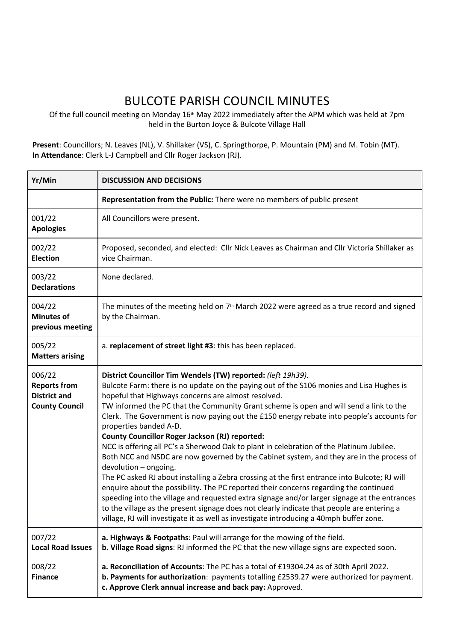## BULCOTE PARISH COUNCIL MINUTES

Of the full council meeting on Monday 16<sup>th</sup> May 2022 immediately after the APM which was held at 7pm held in the Burton Joyce & Bulcote Village Hall

**Present**: Councillors; N. Leaves (NL), V. Shillaker (VS), C. Springthorpe, P. Mountain (PM) and M. Tobin (MT). **In Attendance**: Clerk L-J Campbell and Cllr Roger Jackson (RJ).

| Yr/Min                                                                        | <b>DISCUSSION AND DECISIONS</b>                                                                                                                                                                                                                                                                                                                                                                                                                                                                                                                                                                                                                                                                                                                                                                                                                                                                                                                                                                                                                                                                                                                                                               |
|-------------------------------------------------------------------------------|-----------------------------------------------------------------------------------------------------------------------------------------------------------------------------------------------------------------------------------------------------------------------------------------------------------------------------------------------------------------------------------------------------------------------------------------------------------------------------------------------------------------------------------------------------------------------------------------------------------------------------------------------------------------------------------------------------------------------------------------------------------------------------------------------------------------------------------------------------------------------------------------------------------------------------------------------------------------------------------------------------------------------------------------------------------------------------------------------------------------------------------------------------------------------------------------------|
|                                                                               | Representation from the Public: There were no members of public present                                                                                                                                                                                                                                                                                                                                                                                                                                                                                                                                                                                                                                                                                                                                                                                                                                                                                                                                                                                                                                                                                                                       |
| 001/22<br><b>Apologies</b>                                                    | All Councillors were present.                                                                                                                                                                                                                                                                                                                                                                                                                                                                                                                                                                                                                                                                                                                                                                                                                                                                                                                                                                                                                                                                                                                                                                 |
| 002/22<br><b>Election</b>                                                     | Proposed, seconded, and elected: Cllr Nick Leaves as Chairman and Cllr Victoria Shillaker as<br>vice Chairman.                                                                                                                                                                                                                                                                                                                                                                                                                                                                                                                                                                                                                                                                                                                                                                                                                                                                                                                                                                                                                                                                                |
| 003/22<br><b>Declarations</b>                                                 | None declared.                                                                                                                                                                                                                                                                                                                                                                                                                                                                                                                                                                                                                                                                                                                                                                                                                                                                                                                                                                                                                                                                                                                                                                                |
| 004/22<br><b>Minutes of</b><br>previous meeting                               | The minutes of the meeting held on 7 <sup>th</sup> March 2022 were agreed as a true record and signed<br>by the Chairman.                                                                                                                                                                                                                                                                                                                                                                                                                                                                                                                                                                                                                                                                                                                                                                                                                                                                                                                                                                                                                                                                     |
| 005/22<br><b>Matters arising</b>                                              | a. replacement of street light #3: this has been replaced.                                                                                                                                                                                                                                                                                                                                                                                                                                                                                                                                                                                                                                                                                                                                                                                                                                                                                                                                                                                                                                                                                                                                    |
| 006/22<br><b>Reports from</b><br><b>District and</b><br><b>County Council</b> | District Councillor Tim Wendels (TW) reported: (left 19h39).<br>Bulcote Farm: there is no update on the paying out of the S106 monies and Lisa Hughes is<br>hopeful that Highways concerns are almost resolved.<br>TW informed the PC that the Community Grant scheme is open and will send a link to the<br>Clerk. The Government is now paying out the £150 energy rebate into people's accounts for<br>properties banded A-D.<br><b>County Councillor Roger Jackson (RJ) reported:</b><br>NCC is offering all PC's a Sherwood Oak to plant in celebration of the Platinum Jubilee.<br>Both NCC and NSDC are now governed by the Cabinet system, and they are in the process of<br>devolution - ongoing.<br>The PC asked RJ about installing a Zebra crossing at the first entrance into Bulcote; RJ will<br>enquire about the possibility. The PC reported their concerns regarding the continued<br>speeding into the village and requested extra signage and/or larger signage at the entrances<br>to the village as the present signage does not clearly indicate that people are entering a<br>village, RJ will investigate it as well as investigate introducing a 40mph buffer zone. |
| 007/22<br><b>Local Road Issues</b>                                            | a. Highways & Footpaths: Paul will arrange for the mowing of the field.<br>b. Village Road signs: RJ informed the PC that the new village signs are expected soon.                                                                                                                                                                                                                                                                                                                                                                                                                                                                                                                                                                                                                                                                                                                                                                                                                                                                                                                                                                                                                            |
| 008/22<br><b>Finance</b>                                                      | a. Reconciliation of Accounts: The PC has a total of £19304.24 as of 30th April 2022.<br>b. Payments for authorization: payments totalling £2539.27 were authorized for payment.<br>c. Approve Clerk annual increase and back pay: Approved.                                                                                                                                                                                                                                                                                                                                                                                                                                                                                                                                                                                                                                                                                                                                                                                                                                                                                                                                                  |